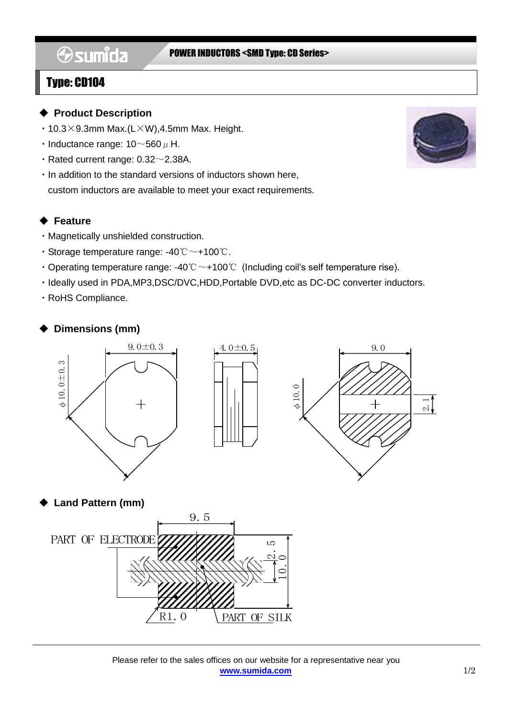# **Osumida**

#### POWER INDUCTORS <SMD Type: CD Series>

### Type: CD104

#### ◆ **Product Description**

- $\cdot$  10.3 × 9.3mm Max.(L $\times$ W),4.5mm Max. Height.
- Inductance range:  $10\negthinspace\negthinspace\negthinspace 560\,\mu$  H.
- $\cdot$  Rated current range: 0.32 $\sim$ 2.38A.
- ・In addition to the standard versions of inductors shown here, custom inductors are available to meet your exact requirements.

#### ◆ **Feature**

- ・Magnetically unshielded construction.
- ・Storage temperature range: -40℃~+100℃.
- Operating temperature range:  $-40^{\circ}$ C  $\sim$  +100 $^{\circ}$  (Including coil's self temperature rise).
- ・Ideally used in PDA,MP3,DSC/DVC,HDD,Portable DVD,etc as DC-DC converter inductors.
- ・RoHS Compliance.

#### ◆ **Dimensions (mm)**



#### ◆ **Land Pattern (mm)**